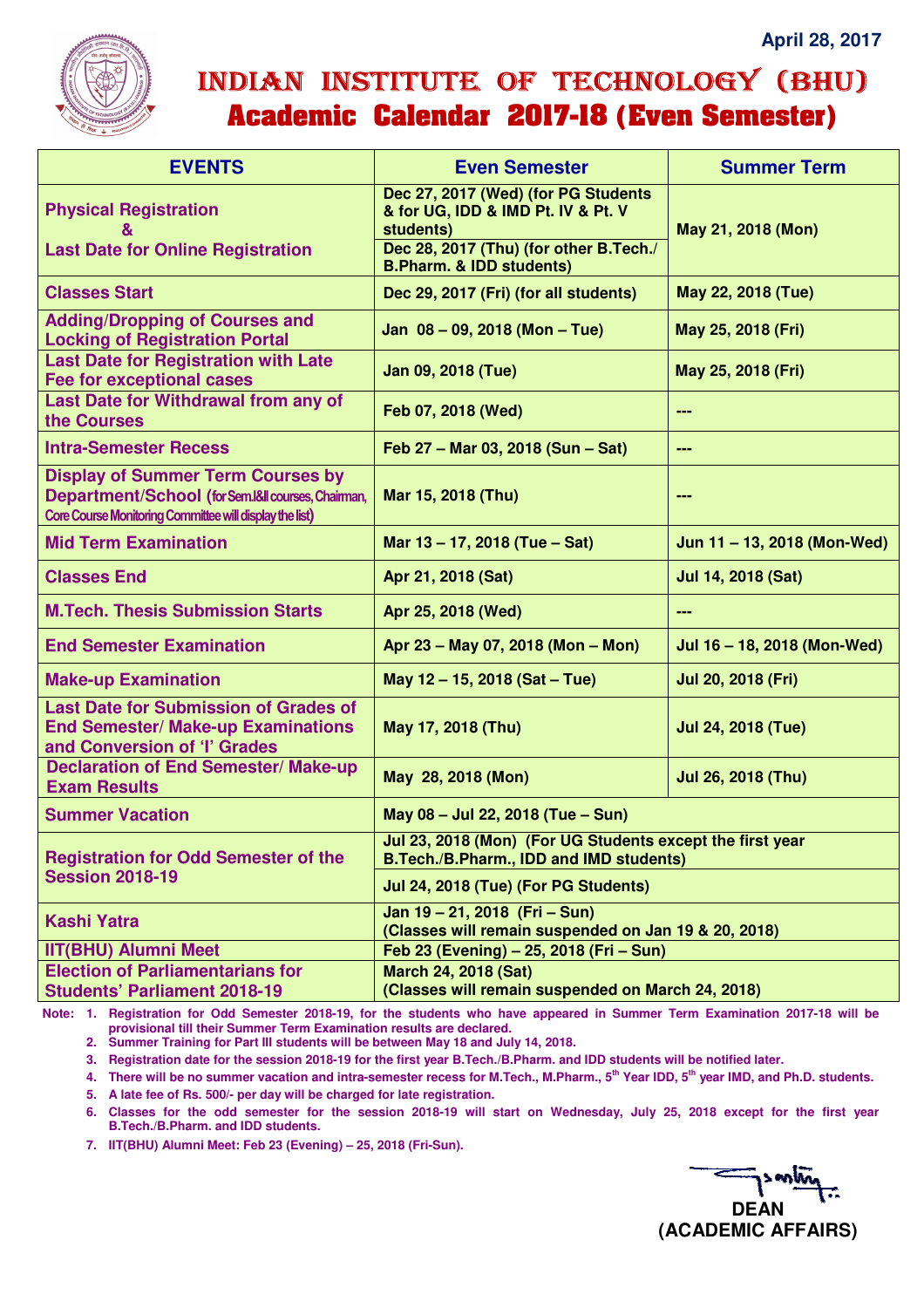

## INDIAN INSTITUTE OF TECHNOLOGY (BHU) **Academic Calendar 2017-18 (Even Semester)**

| <b>EVENTS</b>                                                                                                                                             | <b>Even Semester</b>                                                                                 | <b>Summer Term</b>          |
|-----------------------------------------------------------------------------------------------------------------------------------------------------------|------------------------------------------------------------------------------------------------------|-----------------------------|
| <b>Physical Registration</b>                                                                                                                              | Dec 27, 2017 (Wed) (for PG Students<br>& for UG, IDD & IMD Pt. IV & Pt. V<br>students)               | May 21, 2018 (Mon)          |
| <b>Last Date for Online Registration</b>                                                                                                                  | Dec 28, 2017 (Thu) (for other B.Tech./<br><b>B.Pharm. &amp; IDD students)</b>                        |                             |
| <b>Classes Start</b>                                                                                                                                      | Dec 29, 2017 (Fri) (for all students)                                                                | May 22, 2018 (Tue)          |
| <b>Adding/Dropping of Courses and</b><br><b>Locking of Registration Portal</b>                                                                            | Jan 08 - 09, 2018 (Mon - Tue)                                                                        | May 25, 2018 (Fri)          |
| <b>Last Date for Registration with Late</b><br><b>Fee for exceptional cases</b>                                                                           | Jan 09, 2018 (Tue)                                                                                   | May 25, 2018 (Fri)          |
| Last Date for Withdrawal from any of<br>the Courses                                                                                                       | Feb 07, 2018 (Wed)                                                                                   | ---                         |
| <b>Intra-Semester Recess</b>                                                                                                                              | Feb 27 - Mar 03, 2018 (Sun - Sat)                                                                    | $\qquad \qquad \cdots$      |
| <b>Display of Summer Term Courses by</b><br>Department/School (for Sem.I&II courses, Chairman,<br>Core Course Monitoring Committee will display the list) | Mar 15, 2018 (Thu)                                                                                   | ---                         |
| <b>Mid Term Examination</b>                                                                                                                               | Mar 13 - 17, 2018 (Tue - Sat)                                                                        | Jun 11 - 13, 2018 (Mon-Wed) |
| <b>Classes End</b>                                                                                                                                        | Apr 21, 2018 (Sat)                                                                                   | Jul 14, 2018 (Sat)          |
| <b>M.Tech. Thesis Submission Starts</b>                                                                                                                   | Apr 25, 2018 (Wed)                                                                                   | ---                         |
| <b>End Semester Examination</b>                                                                                                                           | Apr 23 - May 07, 2018 (Mon - Mon)                                                                    | Jul 16 - 18, 2018 (Mon-Wed) |
| <b>Make-up Examination</b>                                                                                                                                | May 12 - 15, 2018 (Sat - Tue)                                                                        | Jul 20, 2018 (Fri)          |
| <b>Last Date for Submission of Grades of</b><br><b>End Semester/ Make-up Examinations</b><br>and Conversion of 'l' Grades                                 | May 17, 2018 (Thu)                                                                                   | <b>Jul 24, 2018 (Tue)</b>   |
| <b>Declaration of End Semester/ Make-up</b><br><b>Exam Results</b>                                                                                        | May 28, 2018 (Mon)                                                                                   | Jul 26, 2018 (Thu)          |
| <b>Summer Vacation</b>                                                                                                                                    | May 08 - Jul 22, 2018 (Tue - Sun)                                                                    |                             |
| <b>Registration for Odd Semester of the</b><br><b>Session 2018-19</b>                                                                                     | Jul 23, 2018 (Mon) (For UG Students except the first year<br>B.Tech./B.Pharm., IDD and IMD students) |                             |
|                                                                                                                                                           | Jul 24, 2018 (Tue) (For PG Students)                                                                 |                             |
| <b>Kashi Yatra</b>                                                                                                                                        | Jan 19 - 21, 2018 (Fri - Sun)<br>(Classes will remain suspended on Jan 19 & 20, 2018)                |                             |
| <b>IIT(BHU) Alumni Meet</b>                                                                                                                               | Feb 23 (Evening) - 25, 2018 (Fri - Sun)                                                              |                             |
| <b>Election of Parliamentarians for</b><br><b>Students' Parliament 2018-19</b>                                                                            | <b>March 24, 2018 (Sat)</b><br>(Classes will remain suspended on March 24, 2018)                     |                             |

**Note: 1. Registration for Odd Semester 2018-19, for the students who have appeared in Summer Term Examination 2017-18 will be provisional till their Summer Term Examination results are declared.** 

**2. Summer Training for Part III students will be between May 18 and July 14, 2018.** 

**3. Registration date for the session 2018-19 for the first year B.Tech./B.Pharm. and IDD students will be notified later.** 

**4. There will be no summer vacation and intra-semester recess for M.Tech., M.Pharm., 5th Year IDD, 5th year IMD, and Ph.D. students.** 

**5. A late fee of Rs. 500/- per day will be charged for late registration.** 

**6. Classes for the odd semester for the session 2018-19 will start on Wednesday, July 25, 2018 except for the first year B.Tech./B.Pharm. and IDD students.** 

**7. IIT(BHU) Alumni Meet: Feb 23 (Evening) – 25, 2018 (Fri-Sun).**